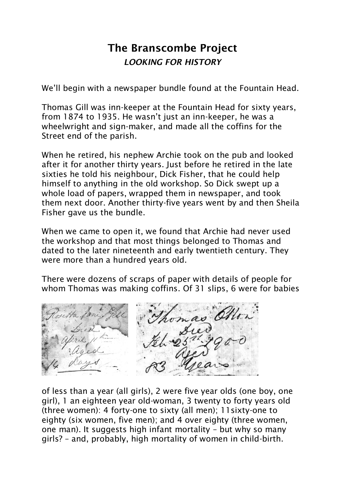## The Branscombe Project *LOOKING FOR HISTORY*

We'll begin with a newspaper bundle found at the Fountain Head.

Thomas Gill was inn-keeper at the Fountain Head for sixty years, from 1874 to 1935. He wasn't just an inn-keeper, he was a wheelwright and sign-maker, and made all the coffins for the Street end of the parish.

When he retired, his nephew Archie took on the pub and looked after it for another thirty years. Just before he retired in the late sixties he told his neighbour, Dick Fisher, that he could help himself to anything in the old workshop. So Dick swept up a whole load of papers, wrapped them in newspaper, and took them next door. Another thirty-five years went by and then Sheila Fisher gave us the bundle.

When we came to open it, we found that Archie had never used the workshop and that most things belonged to Thomas and dated to the later nineteenth and early twentieth century. They were more than a hundred years old.

There were dozens of scraps of paper with details of people for whom Thomas was making coffins. Of 31 slips, 6 were for babies



of less than a year (all girls), 2 were five year olds (one boy, one girl), 1 an eighteen year old-woman, 3 twenty to forty years old (three women): 4 forty-one to sixty (all men); 11sixty-one to eighty (six women, five men); and 4 over eighty (three women, one man). It suggests high infant mortality – but why so many girls? – and, probably, high mortality of women in child-birth.